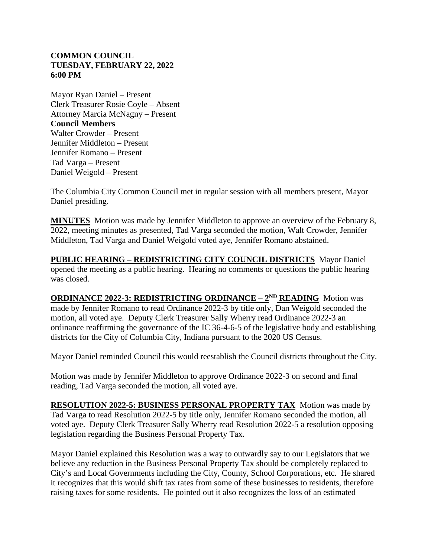## **COMMON COUNCIL TUESDAY, FEBRUARY 22, 2022 6:00 PM**

Mayor Ryan Daniel – Present Clerk Treasurer Rosie Coyle – Absent Attorney Marcia McNagny – Present **Council Members** Walter Crowder – Present Jennifer Middleton – Present Jennifer Romano – Present Tad Varga – Present Daniel Weigold – Present

The Columbia City Common Council met in regular session with all members present, Mayor Daniel presiding.

**MINUTES** Motion was made by Jennifer Middleton to approve an overview of the February 8, 2022, meeting minutes as presented, Tad Varga seconded the motion, Walt Crowder, Jennifer Middleton, Tad Varga and Daniel Weigold voted aye, Jennifer Romano abstained.

**PUBLIC HEARING – REDISTRICTING CITY COUNCIL DISTRICTS** Mayor Daniel opened the meeting as a public hearing. Hearing no comments or questions the public hearing was closed.

**ORDINANCE 2022-3: REDISTRICTING ORDINANCE –**  $2^{\text{ND}}$  **<b>READING** Motion was made by Jennifer Romano to read Ordinance 2022-3 by title only, Dan Weigold seconded the motion, all voted aye. Deputy Clerk Treasurer Sally Wherry read Ordinance 2022-3 an ordinance reaffirming the governance of the IC 36-4-6-5 of the legislative body and establishing districts for the City of Columbia City, Indiana pursuant to the 2020 US Census.

Mayor Daniel reminded Council this would reestablish the Council districts throughout the City.

Motion was made by Jennifer Middleton to approve Ordinance 2022-3 on second and final reading, Tad Varga seconded the motion, all voted aye.

**RESOLUTION 2022-5: BUSINESS PERSONAL PROPERTY TAX** Motion was made by Tad Varga to read Resolution 2022-5 by title only, Jennifer Romano seconded the motion, all voted aye. Deputy Clerk Treasurer Sally Wherry read Resolution 2022-5 a resolution opposing legislation regarding the Business Personal Property Tax.

Mayor Daniel explained this Resolution was a way to outwardly say to our Legislators that we believe any reduction in the Business Personal Property Tax should be completely replaced to City's and Local Governments including the City, County, School Corporations, etc. He shared it recognizes that this would shift tax rates from some of these businesses to residents, therefore raising taxes for some residents. He pointed out it also recognizes the loss of an estimated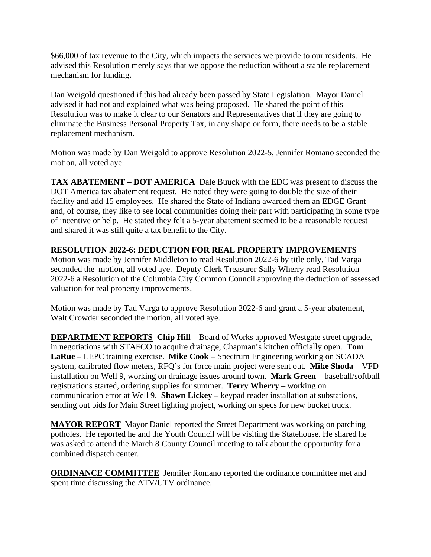\$66,000 of tax revenue to the City, which impacts the services we provide to our residents. He advised this Resolution merely says that we oppose the reduction without a stable replacement mechanism for funding.

Dan Weigold questioned if this had already been passed by State Legislation. Mayor Daniel advised it had not and explained what was being proposed. He shared the point of this Resolution was to make it clear to our Senators and Representatives that if they are going to eliminate the Business Personal Property Tax, in any shape or form, there needs to be a stable replacement mechanism.

Motion was made by Dan Weigold to approve Resolution 2022-5, Jennifer Romano seconded the motion, all voted aye.

**TAX ABATEMENT – DOT AMERICA** Dale Buuck with the EDC was present to discuss the DOT America tax abatement request. He noted they were going to double the size of their facility and add 15 employees. He shared the State of Indiana awarded them an EDGE Grant and, of course, they like to see local communities doing their part with participating in some type of incentive or help. He stated they felt a 5-year abatement seemed to be a reasonable request and shared it was still quite a tax benefit to the City.

## **RESOLUTION 2022-6: DEDUCTION FOR REAL PROPERTY IMPROVEMENTS**

Motion was made by Jennifer Middleton to read Resolution 2022-6 by title only, Tad Varga seconded the motion, all voted aye. Deputy Clerk Treasurer Sally Wherry read Resolution 2022-6 a Resolution of the Columbia City Common Council approving the deduction of assessed valuation for real property improvements.

Motion was made by Tad Varga to approve Resolution 2022-6 and grant a 5-year abatement, Walt Crowder seconded the motion, all voted aye.

**DEPARTMENT REPORTS Chip Hill** – Board of Works approved Westgate street upgrade, in negotiations with STAFCO to acquire drainage, Chapman's kitchen officially open. **Tom LaRue** – LEPC training exercise. **Mike Cook** – Spectrum Engineering working on SCADA system, calibrated flow meters, RFQ's for force main project were sent out. **Mike Shoda** – VFD installation on Well 9, working on drainage issues around town. **Mark Green** – baseball/softball registrations started, ordering supplies for summer. **Terry Wherry** – working on communication error at Well 9. **Shawn Lickey** – keypad reader installation at substations, sending out bids for Main Street lighting project, working on specs for new bucket truck.

**MAYOR REPORT** Mayor Daniel reported the Street Department was working on patching potholes. He reported he and the Youth Council will be visiting the Statehouse. He shared he was asked to attend the March 8 County Council meeting to talk about the opportunity for a combined dispatch center.

**ORDINANCE COMMITTEE** Jennifer Romano reported the ordinance committee met and spent time discussing the ATV/UTV ordinance.